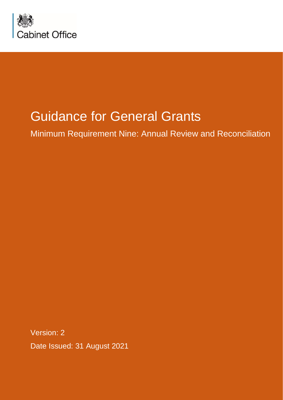

# Guidance for General Grants

Minimum Requirement Nine: Annual Review and Reconciliation

Version: 2 Date Issued: 31 August 2021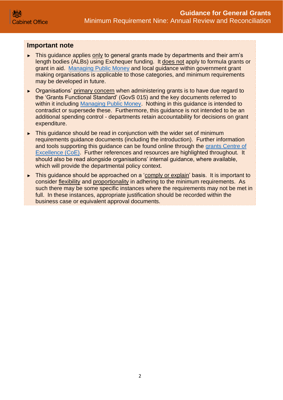## **Important note**

- ► This guidance applies only to general grants made by departments and their arm's length bodies (ALBs) using Exchequer funding. It does not apply to formula grants or grant in aid. [Managing Public Money](https://www.gov.uk/government/publications/managing-public-money) and local guidance within government grant making organisations is applicable to those categories, and minimum requirements may be developed in future.
- ► Organisations' primary concern when administering grants is to have due regard to the 'Grants Functional Standard' (GovS 015) and the key documents referred to within it including [Managing Public Money.](https://www.gov.uk/government/publications/managing-public-money) Nothing in this guidance is intended to contradict or supersede these. Furthermore, this guidance is not intended to be an additional spending control - departments retain accountability for decisions on grant expenditure.
- ► This guidance should be read in conjunction with the wider set of minimum requirements guidance documents (including the introduction). Further information and tools supporting this guidance can be found online through the [grants Centre of](https://gcoe.civilservice.gov.uk/)  [Excellence \(CoE\).](https://gcoe.civilservice.gov.uk/) Further references and resources are highlighted throughout. It should also be read alongside organisations' internal guidance, where available, which will provide the departmental policy context.
- ► This guidance should be approached on a 'comply or explain' basis. It is important to consider flexibility and proportionality in adhering to the minimum requirements. As such there may be some specific instances where the requirements may not be met in full. In these instances, appropriate justification should be recorded within the business case or equivalent approval documents.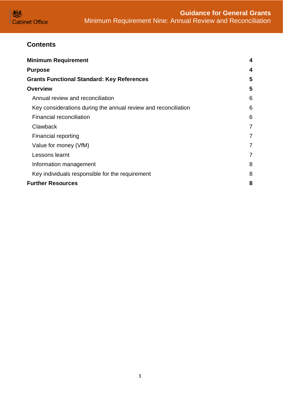

# **Contents**

| <b>Minimum Requirement</b>                                     | 4              |
|----------------------------------------------------------------|----------------|
| <b>Purpose</b>                                                 | 4              |
| <b>Grants Functional Standard: Key References</b>              |                |
| <b>Overview</b>                                                | 5              |
| Annual review and reconciliation                               | 6              |
| Key considerations during the annual review and reconciliation | 6              |
| Financial reconciliation                                       | 6              |
| Clawback                                                       | $\overline{7}$ |
| Financial reporting                                            | 7              |
| Value for money (VfM)                                          | 7              |
| Lessons learnt                                                 | 7              |
| Information management                                         | 8              |
| Key individuals responsible for the requirement                | 8              |
| <b>Further Resources</b>                                       | 8              |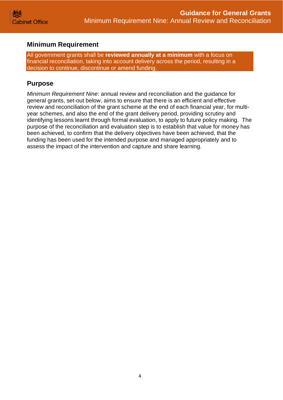# <span id="page-3-0"></span>**Minimum Requirement**

All government grants shall be **reviewed annually at a minimum** with a focus on financial reconciliation, taking into account delivery across the period, resulting in a decision to continue, discontinue or amend funding.

## <span id="page-3-1"></span>**Purpose**

*Minimum Requirement Nine*: annual review and reconciliation and the guidance for general grants, set-out below, aims to ensure that there is an efficient and effective review and reconciliation of the grant scheme at the end of each financial year, for multiyear schemes, and also the end of the grant delivery period, providing scrutiny and identifying lessons learnt through formal evaluation, to apply to future policy making. The purpose of the reconciliation and evaluation step is to establish that value for money has been achieved, to confirm that the delivery objectives have been achieved, that the funding has been used for the intended purpose and managed appropriately and to assess the impact of the intervention and capture and share learning.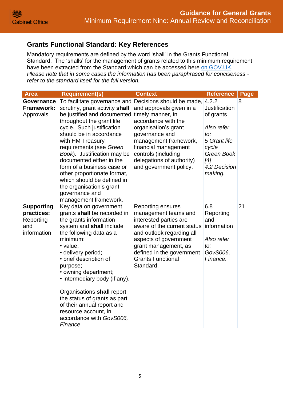# <span id="page-4-0"></span>**Grants Functional Standard: Key References**

Mandatory requirements are defined by the word 'shall' in the Grants Functional Standard. The 'shalls' for the management of grants related to this minimum requirement have been extracted from the Standard which can be accessed here [on GOV.UK.](https://www.gov.uk/government/publications/grants-standards/grant-standards) *Please note that in some cases the information has been paraphrased for conciseness refer to the standard itself for the full version.*

<span id="page-4-1"></span>

| <b>Area</b>                                                        | <b>Requirement(s)</b>                                                                                                                                                                                                                                                                                                                                                                                                                                                                          | <b>Context</b>                                                                                                                                                                                                                                         | <b>Reference</b>                                                                                                                | Page |
|--------------------------------------------------------------------|------------------------------------------------------------------------------------------------------------------------------------------------------------------------------------------------------------------------------------------------------------------------------------------------------------------------------------------------------------------------------------------------------------------------------------------------------------------------------------------------|--------------------------------------------------------------------------------------------------------------------------------------------------------------------------------------------------------------------------------------------------------|---------------------------------------------------------------------------------------------------------------------------------|------|
| Governance<br><b>Framework:</b><br>Approvals                       | To facilitate governance and Decisions should be made, 4.2.2<br>scrutiny, grant activity shall<br>be justified and documented<br>throughout the grant life<br>cycle. Such justification<br>should be in accordance<br>with HM Treasury<br>requirements (see Green<br>Book). Justification may be<br>documented either in the<br>form of a business case or<br>other proportionate format,<br>which should be defined in<br>the organisation's grant<br>governance and<br>management framework. | and approvals given in a<br>timely manner, in<br>accordance with the<br>organisation's grant<br>governance and<br>management framework,<br>financial management<br>controls (including<br>delegations of authority)<br>and government policy.          | <b>Justification</b><br>of grants<br>Also refer<br>to:<br>5 Grant life<br>cycle<br>Green Book<br>[4]<br>4.2 Decision<br>making. | 8    |
| <b>Supporting</b><br>practices:<br>Reporting<br>and<br>information | Key data on government<br>grants shall be recorded in<br>the grants information<br>system and shall include<br>the following data as a<br>minimum:<br>• value;<br>· delivery period;<br>• brief description of<br>purpose;<br>• owning department;<br>• intermediary body (if any).<br>Organisations shall report<br>the status of grants as part<br>of their annual report and<br>resource account, in<br>accordance with GovS006,<br>Finance.                                                | Reporting ensures<br>management teams and<br>interested parties are<br>aware of the current status<br>and outlook regarding all<br>aspects of government<br>grant management, as<br>defined in the government<br><b>Grants Functional</b><br>Standard. | 6.8<br>Reporting<br>and<br>information<br>Also refer<br>to:<br>GovS006,<br>Finance.                                             | 21   |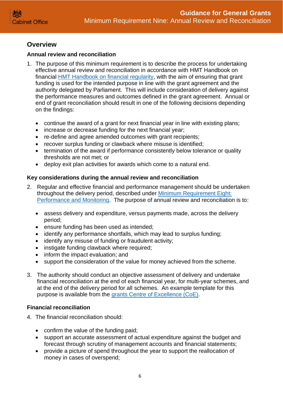# **Overview**

## <span id="page-5-0"></span>**Annual review and reconciliation**

- 1. The purpose of this minimum requirement is to describe the process for undertaking effective annual review and reconciliation in accordance with HMT Handbook on financial [HMT Handbook on financial regularity,](https://assets.publishing.service.gov.uk/government/uploads/system/uploads/attachment_data/file/212460/Regularity_Propriety_and_Value_for_Money.pdf) with the aim of ensuring that grant funding is used for the intended purpose in line with the grant agreement and the authority delegated by Parliament. This will include consideration of delivery against the performance measures and outcomes defined in the grant agreement. Annual or end of grant reconciliation should result in one of the following decisions depending on the findings:
	- continue the award of a grant for next financial year in line with existing plans;
	- increase or decrease funding for the next financial year;
	- re-define and agree amended outcomes with grant recipients;
	- recover surplus funding or clawback where misuse is identified;
	- termination of the award if performance consistently below tolerance or quality thresholds are not met; or
	- deploy exit plan activities for awards which come to a natural end.

## <span id="page-5-1"></span>**Key considerations during the annual review and reconciliation**

- 2. Regular and effective financial and performance management should be undertaken throughout the delivery period, described under [Minimum Requirement Eight:](https://assets.publishing.service.gov.uk/government/uploads/system/uploads/attachment_data/file/722202/Grants-Standard-EIGHT-Performance-and-Monitoring.pdf)  [Performance and Monitoring.](https://assets.publishing.service.gov.uk/government/uploads/system/uploads/attachment_data/file/722202/Grants-Standard-EIGHT-Performance-and-Monitoring.pdf) The purpose of annual review and reconciliation is to:
	- assess delivery and expenditure, versus payments made, across the delivery period;
	- ensure funding has been used as intended;
	- identify any performance shortfalls, which may lead to surplus funding;
	- identify any misuse of funding or fraudulent activity;
	- instigate funding clawback where required;
	- inform the impact evaluation; and
	- support the consideration of the value for money achieved from the scheme.
- 3. The authority should conduct an objective assessment of delivery and undertake financial reconciliation at the end of each financial year, for multi-year schemes, and at the end of the delivery period for all schemes. An example template for this purpose is available from the [grants Centre of Excellence \(CoE\).](https://gcoe.civilservice.gov.uk/)

#### <span id="page-5-2"></span>**Financial reconciliation**

- 4. The financial reconciliation should:
	- confirm the value of the funding paid;
	- support an accurate assessment of actual expenditure against the budget and forecast through scrutiny of management accounts and financial statements;
	- provide a picture of spend throughout the year to support the reallocation of money in cases of overspend;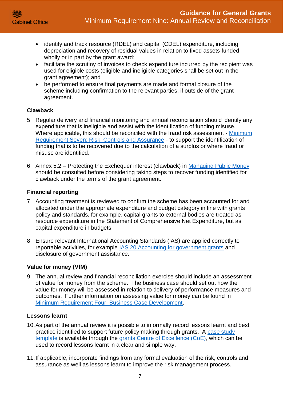- identify and track resource (RDEL) and capital (CDEL) expenditure, including depreciation and recovery of residual values in relation to fixed assets funded wholly or in part by the grant award;
- facilitate the scrutiny of invoices to check expenditure incurred by the recipient was used for eligible costs (eligible and ineligible categories shall be set out in the grant agreement); and
- be performed to ensure final payments are made and formal closure of the scheme including confirmation to the relevant parties, if outside of the grant agreement.

## <span id="page-6-0"></span>**Clawback**

- 5. Regular delivery and financial monitoring and annual reconciliation should identify any expenditure that is ineligible and assist with the identification of funding misuse. Where applicable, this should be reconciled with the fraud risk assessment - Minimum [Requirement Seven: Risk, Controls and Assurance](https://assets.publishing.service.gov.uk/government/uploads/system/uploads/attachment_data/file/722201/Grants-Standard-SEVEN-Due-Diligence-and-Fraud-Risk.pdf) - to support the identification of funding that is to be recovered due to the calculation of a surplus or where fraud or misuse are identified.
- 6. Annex 5.2 Protecting the Exchequer interest (clawback) in [Managing Public Money](https://assets.publishing.service.gov.uk/government/uploads/system/uploads/attachment_data/file/835558/Managing_Public_Money__MPM__with_annexes_2019.pdf) should be consulted before considering taking steps to recover funding identified for clawback under the terms of the grant agreement.

## <span id="page-6-1"></span>**Financial reporting**

- 7. Accounting treatment is reviewed to confirm the scheme has been accounted for and allocated under the appropriate expenditure and budget category in line with grants policy and standards, for example, capital grants to external bodies are treated as resource expenditure in the Statement of Comprehensive Net Expenditure, but as capital expenditure in budgets.
- 8. Ensure relevant International Accounting Standards (IAS) are applied correctly to reportable activities, for example [IAS 20 Accounting for government grants](https://www.iasplus.com/en/standards/ias/ias20) and disclosure of government assistance.

#### <span id="page-6-2"></span>**Value for money (VfM)**

9. The annual review and financial reconciliation exercise should include an assessment of value for money from the scheme. The business case should set out how the value for money will be assessed in relation to delivery of performance measures and outcomes. Further information on assessing value for money can be found in [Minimum Requirement Four: Business Case Development.](https://assets.publishing.service.gov.uk/government/uploads/system/uploads/attachment_data/file/722198/Grants-Standard-FOUR-Business-Case.pdf)

#### <span id="page-6-3"></span>**Lessons learnt**

- 10.As part of the annual review it is possible to informally record lessons learnt and best practice identified to support future policy making through grants. A [case study](https://gcoe.civilservice.gov.uk/wp-content/uploads/2016/03/20151020-Case-Study-Template-v1.0.docx)  [template](https://gcoe.civilservice.gov.uk/wp-content/uploads/2016/03/20151020-Case-Study-Template-v1.0.docx) is available through the [grants Centre of Excellence \(CoE\),](https://gcoe.civilservice.gov.uk/) which can be used to record lessons learnt in a clear and simple way.
- 11.If applicable, incorporate findings from any formal evaluation of the risk, controls and assurance as well as lessons learnt to improve the risk management process.